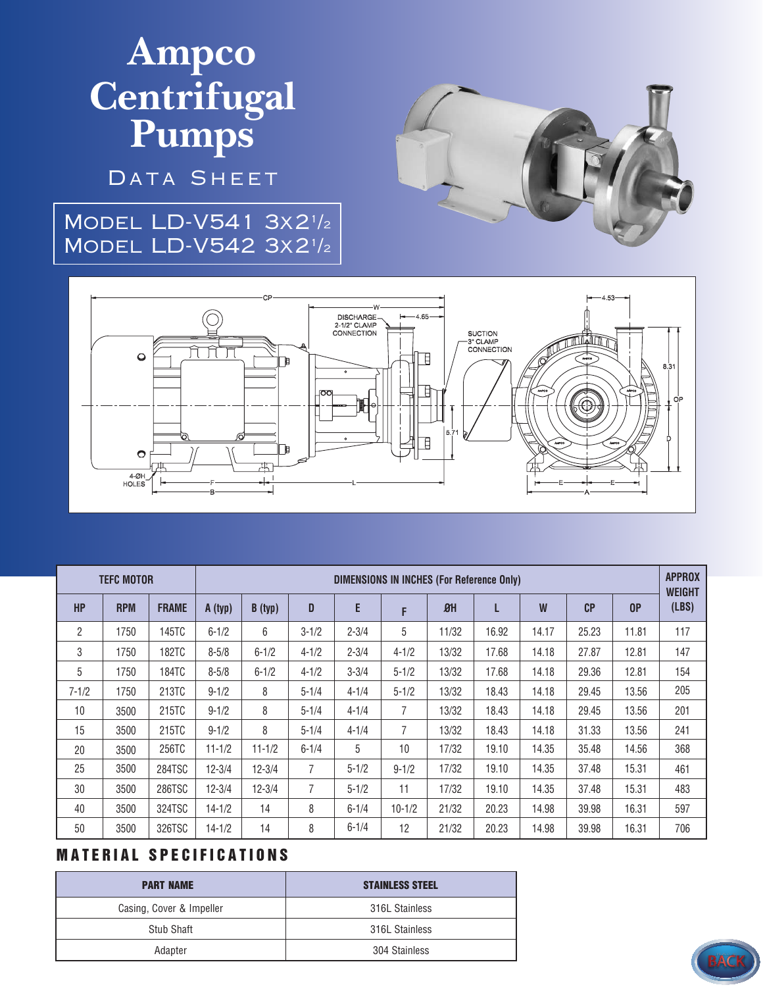# **Ampco Centrifugal Pumps**

DATA SHEET

### Model LD-V541 3x2<sup>1</sup> /2 Model LD-V542 3x2<sup>1</sup> /2





| <b>TEFC MOTOR</b> |            |              | <b>DIMENSIONS IN INCHES (For Reference Only)</b> |            |                |           |            |            |       |       |                |       | <b>APPROX</b><br><b>WEIGHT</b> |
|-------------------|------------|--------------|--------------------------------------------------|------------|----------------|-----------|------------|------------|-------|-------|----------------|-------|--------------------------------|
| <b>HP</b>         | <b>RPM</b> | <b>FRAME</b> | A (typ)                                          | B (typ)    | D              | E         | F          | $\theta$ H | L     | W     | C <sub>P</sub> | 0P    | (LBS)                          |
| $\overline{2}$    | 1750       | 145TC        | $6 - 1/2$                                        | 6          | $3 - 1/2$      | $2 - 3/4$ | 5          | 11/32      | 16.92 | 14.17 | 25.23          | 11.81 | 117                            |
| 3                 | 1750       | <b>182TC</b> | $8 - 5/8$                                        | $6 - 1/2$  | $4 - 1/2$      | $2 - 3/4$ | $4 - 1/2$  | 13/32      | 17.68 | 14.18 | 27.87          | 12.81 | 147                            |
| 5                 | 1750       | 184TC        | $8 - 5/8$                                        | $6 - 1/2$  | $4 - 1/2$      | $3 - 3/4$ | $5 - 1/2$  | 13/32      | 17.68 | 14.18 | 29.36          | 12.81 | 154                            |
| $7 - 1/2$         | 1750       | 213TC        | $9 - 1/2$                                        | 8          | $5 - 1/4$      | $4 - 1/4$ | $5 - 1/2$  | 13/32      | 18.43 | 14.18 | 29.45          | 13.56 | 205                            |
| 10                | 3500       | 215TC        | $9 - 1/2$                                        | 8          | $5 - 1/4$      | $4 - 1/4$ | 7          | 13/32      | 18.43 | 14.18 | 29.45          | 13.56 | 201                            |
| 15                | 3500       | 215TC        | $9 - 1/2$                                        | 8          | $5 - 1/4$      | $4 - 1/4$ | 7          | 13/32      | 18.43 | 14.18 | 31.33          | 13.56 | 241                            |
| 20                | 3500       | 256TC        | $11 - 1/2$                                       | $11 - 1/2$ | $6 - 1/4$      | 5         | 10         | 17/32      | 19.10 | 14.35 | 35.48          | 14.56 | 368                            |
| 25                | 3500       | 284TSC       | $12 - 3/4$                                       | $12 - 3/4$ | $\overline{7}$ | $5 - 1/2$ | $9 - 1/2$  | 17/32      | 19.10 | 14.35 | 37.48          | 15.31 | 461                            |
| 30                | 3500       | 286TSC       | $12 - 3/4$                                       | 12-3/4     | $\overline{7}$ | $5 - 1/2$ | 11         | 17/32      | 19.10 | 14.35 | 37.48          | 15.31 | 483                            |
| 40                | 3500       | 324TSC       | $14 - 1/2$                                       | 14         | 8              | $6 - 1/4$ | $10 - 1/2$ | 21/32      | 20.23 | 14.98 | 39.98          | 16.31 | 597                            |
| 50                | 3500       | 326TSC       | $14 - 1/2$                                       | 14         | 8              | $6 - 1/4$ | 12         | 21/32      | 20.23 | 14.98 | 39.98          | 16.31 | 706                            |

#### **MATERIAL SPECIFICATIONS**

| <b>PART NAME</b>         | <b>STAINLESS STEEL</b> |  |  |  |
|--------------------------|------------------------|--|--|--|
| Casing, Cover & Impeller | 316L Stainless         |  |  |  |
| Stub Shaft               | 316L Stainless         |  |  |  |
| Adapter                  | 304 Stainless          |  |  |  |